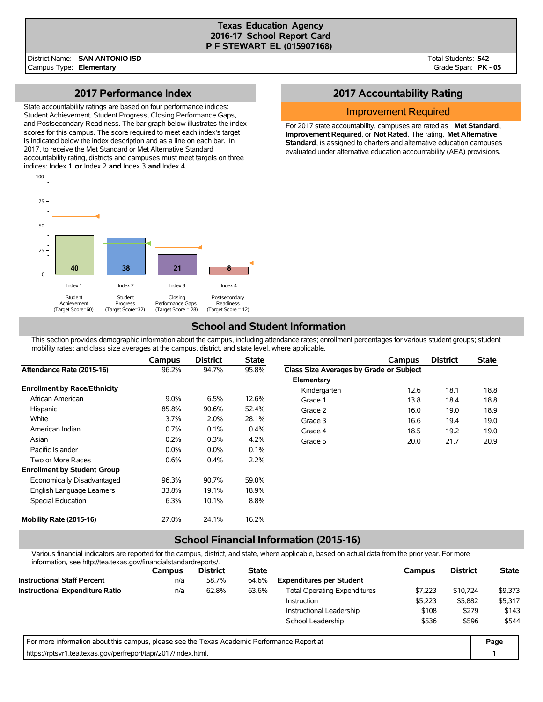#### **Texas Education Agency 2016-17 School Report Card P F STEWART EL (015907168)**

Total Students: **542** Grade Span: **PK - 05**

### **2017 Performance Index**

State accountability ratings are based on four performance indices: Student Achievement, Student Progress, Closing Performance Gaps, and Postsecondary Readiness. The bar graph below illustrates the index scores for this campus. The score required to meet each index's target is indicated below the index description and as a line on each bar. In 2017, to receive the Met Standard or Met Alternative Standard accountability rating, districts and campuses must meet targets on three indices: Index 1 **or** Index 2 **and** Index 3 **and** Index 4.



# **2017 Accountability Rating**

### Improvement Required

For 2017 state accountability, campuses are rated as **Met Standard**, **Improvement Required**, or **Not Rated**. The rating, **Met Alternative Standard**, is assigned to charters and alternative education campuses evaluated under alternative education accountability (AEA) provisions.

## **School and Student Information**

This section provides demographic information about the campus, including attendance rates; enrollment percentages for various student groups; student mobility rates; and class size averages at the campus, district, and state level, where applicable.

|                                     | <b>Campus</b> | <b>District</b> | <b>State</b> |                                         | Campus | <b>District</b> | <b>State</b> |
|-------------------------------------|---------------|-----------------|--------------|-----------------------------------------|--------|-----------------|--------------|
| Attendance Rate (2015-16)           | 96.2%         | 94.7%           | 95.8%        | Class Size Averages by Grade or Subject |        |                 |              |
|                                     |               |                 |              | Elementary                              |        |                 |              |
| <b>Enrollment by Race/Ethnicity</b> |               |                 |              | Kindergarten                            | 12.6   | 18.1            | 18.8         |
| African American                    | $9.0\%$       | 6.5%            | 12.6%        | Grade 1                                 | 13.8   | 18.4            | 18.8         |
| Hispanic                            | 85.8%         | 90.6%           | 52.4%        | Grade 2                                 | 16.0   | 19.0            | 18.9         |
| White                               | 3.7%          | 2.0%            | 28.1%        | Grade 3                                 | 16.6   | 19.4            | 19.0         |
| American Indian                     | 0.7%          | 0.1%            | 0.4%         | Grade 4                                 | 18.5   | 19.2            | 19.0         |
| Asian                               | 0.2%          | 0.3%            | 4.2%         | Grade 5                                 | 20.0   | 21.7            | 20.9         |
| Pacific Islander                    | $0.0\%$       | $0.0\%$         | 0.1%         |                                         |        |                 |              |
| Two or More Races                   | 0.6%          | 0.4%            | 2.2%         |                                         |        |                 |              |
| <b>Enrollment by Student Group</b>  |               |                 |              |                                         |        |                 |              |
| Economically Disadvantaged          | 96.3%         | 90.7%           | 59.0%        |                                         |        |                 |              |
| English Language Learners           | 33.8%         | 19.1%           | 18.9%        |                                         |        |                 |              |
| Special Education                   | 6.3%          | 10.1%           | 8.8%         |                                         |        |                 |              |
| Mobility Rate (2015-16)             | 27.0%         | 24.1%           | 16.2%        |                                         |        |                 |              |

# **School Financial Information (2015-16)**

Various financial indicators are reported for the campus, district, and state, where applicable, based on actual data from the prior year. For more information, see http://tea.texas.gov/financialstandardreports/.

| illioilliauvil, see liiup.//tea.texas.gov/illialiciaistalidaldiepolts/.                     |        |                 |              |                                     |         |                 |              |
|---------------------------------------------------------------------------------------------|--------|-----------------|--------------|-------------------------------------|---------|-----------------|--------------|
|                                                                                             | Campus | <b>District</b> | <b>State</b> |                                     | Campus  | <b>District</b> | <b>State</b> |
| <b>Instructional Staff Percent</b>                                                          | n/a    | 58.7%           | 64.6%        | <b>Expenditures per Student</b>     |         |                 |              |
| <b>Instructional Expenditure Ratio</b>                                                      | n/a    | 62.8%           | 63.6%        | <b>Total Operating Expenditures</b> | \$7.223 | \$10,724        | \$9,373      |
|                                                                                             |        |                 |              | <b>Instruction</b>                  | \$5,223 | \$5,882         | \$5,317      |
|                                                                                             |        |                 |              | Instructional Leadership            | \$108   | \$279           | \$143        |
|                                                                                             |        |                 |              | School Leadership                   | \$536   | \$596           | \$544        |
| For more information about this campus, please see the Texas Academic Performance Report at |        |                 |              |                                     |         |                 | Page         |
| https://rptsvr1.tea.texas.gov/perfreport/tapr/2017/index.html.                              |        |                 |              |                                     |         |                 |              |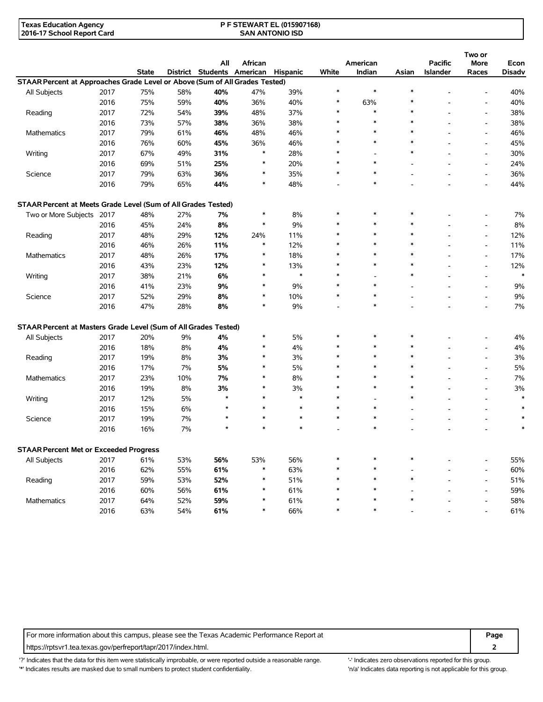| <b>Texas Education Agency</b> | <b>P F STEWART EL (015907168)</b> |  |
|-------------------------------|-----------------------------------|--|
| 2016-17 School Report Card    | <b>SAN ANTONIO ISD</b>            |  |

|                                                                             |      |              |     |                            |               |               |        |                          |        |                 | Two or                   |               |
|-----------------------------------------------------------------------------|------|--------------|-----|----------------------------|---------------|---------------|--------|--------------------------|--------|-----------------|--------------------------|---------------|
|                                                                             |      |              |     | All                        | African       |               |        | American                 |        | <b>Pacific</b>  | <b>More</b>              | Econ          |
|                                                                             |      | <b>State</b> |     | District Students American |               | Hispanic      | White  | Indian                   | Asian  | <b>Islander</b> | Races                    | <b>Disadv</b> |
| STAAR Percent at Approaches Grade Level or Above (Sum of All Grades Tested) |      |              |     |                            |               |               |        |                          |        |                 |                          |               |
| All Subjects                                                                | 2017 | 75%          | 58% | 40%                        | 47%           | 39%           | $\ast$ | $\ast$                   | $\ast$ |                 |                          | 40%           |
|                                                                             | 2016 | 75%          | 59% | 40%                        | 36%           | 40%           | $\ast$ | 63%                      | $\ast$ |                 | $\overline{a}$           | 40%           |
| Reading                                                                     | 2017 | 72%          | 54% | 39%                        | 48%           | 37%           | $\ast$ | *                        | $\ast$ |                 | $\blacksquare$           | 38%           |
|                                                                             | 2016 | 73%          | 57% | 38%                        | 36%           | 38%           | $\ast$ | $\ast$                   | $\ast$ |                 | $\overline{\phantom{a}}$ | 38%           |
| <b>Mathematics</b>                                                          | 2017 | 79%          | 61% | 46%                        | 48%           | 46%           | $\ast$ | $\ast$                   | $\ast$ |                 | $\overline{a}$           | 46%           |
|                                                                             | 2016 | 76%          | 60% | 45%                        | 36%           | 46%           | $\ast$ | $\ast$                   | $\ast$ |                 | $\overline{a}$           | 45%           |
| Writing                                                                     | 2017 | 67%          | 49% | 31%                        | $\ast$        | 28%           | $\ast$ | $\overline{\phantom{a}}$ | $\ast$ |                 | $\overline{\phantom{a}}$ | 30%           |
|                                                                             | 2016 | 69%          | 51% | 25%                        | $\ast$        | 20%           | $\ast$ | $\ast$                   |        |                 | $\overline{\phantom{a}}$ | 24%           |
| Science                                                                     | 2017 | 79%          | 63% | 36%                        | $\ast$        | 35%           | $\ast$ | $\ast$                   |        |                 | $\overline{\phantom{a}}$ | 36%           |
|                                                                             | 2016 | 79%          | 65% | 44%                        | $\ast$        | 48%           |        | $\ast$                   |        |                 | $\overline{\phantom{a}}$ | 44%           |
| STAAR Percent at Meets Grade Level (Sum of All Grades Tested)               |      |              |     |                            |               |               |        |                          |        |                 |                          |               |
|                                                                             |      | 48%          | 27% | 7%                         | $\ast$        | 8%            | $\ast$ | $\ast$                   | $\ast$ |                 |                          | 7%            |
| Two or More Subjects 2017                                                   |      |              |     | 8%                         | $\ast$        | 9%            | $\ast$ | $\ast$                   | $\ast$ |                 | $\overline{a}$           |               |
|                                                                             | 2016 | 45%          | 24% |                            |               |               | $\ast$ | $\ast$                   | $\ast$ |                 |                          | 8%            |
| Reading                                                                     | 2017 | 48%          | 29% | 12%                        | 24%<br>$\ast$ | 11%           | $\ast$ | $\ast$                   | $\ast$ |                 | $\overline{a}$           | 12%           |
|                                                                             | 2016 | 46%          | 26% | 11%                        |               | 12%           | $\ast$ | $\ast$                   | $\ast$ |                 | $\blacksquare$           | 11%           |
| <b>Mathematics</b>                                                          | 2017 | 48%          | 26% | 17%                        | $\ast$        | 18%           | $\ast$ | $\ast$                   | $\ast$ |                 | $\blacksquare$           | 17%           |
|                                                                             | 2016 | 43%          | 23% | 12%                        | $\ast$        | 13%<br>$\ast$ | $\ast$ |                          | $\ast$ |                 | $\overline{a}$           | 12%<br>$\ast$ |
| Writing                                                                     | 2017 | 38%          | 21% | 6%                         | $\ast$        |               |        |                          |        |                 | $\blacksquare$           |               |
|                                                                             | 2016 | 41%          | 23% | 9%                         | $\ast$        | 9%            | $\ast$ | $\ast$                   |        |                 | $\blacksquare$           | 9%            |
| Science                                                                     | 2017 | 52%          | 29% | 8%                         | $\ast$        | 10%           | $\ast$ | $\ast$                   |        |                 | $\overline{\phantom{a}}$ | 9%            |
|                                                                             | 2016 | 47%          | 28% | 8%                         | $\ast$        | 9%            |        | $\ast$                   |        |                 |                          | 7%            |
| STAAR Percent at Masters Grade Level (Sum of All Grades Tested)             |      |              |     |                            |               |               |        |                          |        |                 |                          |               |
| All Subjects                                                                | 2017 | 20%          | 9%  | 4%                         | $\ast$        | 5%            | $\ast$ | $\ast$                   | $\ast$ |                 |                          | 4%            |
|                                                                             | 2016 | 18%          | 8%  | 4%                         | *             | 4%            | $\ast$ | $\ast$                   | $\ast$ |                 | $\overline{a}$           | 4%            |
| Reading                                                                     | 2017 | 19%          | 8%  | 3%                         | $\ast$        | 3%            | $\ast$ | $\ast$                   | $\ast$ |                 | $\overline{a}$           | 3%            |
|                                                                             | 2016 | 17%          | 7%  | 5%                         | $\ast$        | 5%            | $\ast$ | $\ast$                   | $\ast$ |                 | $\blacksquare$           | 5%            |
| <b>Mathematics</b>                                                          | 2017 | 23%          | 10% | 7%                         | $\ast$        | 8%            | $\ast$ | $\ast$                   | $\ast$ |                 | $\blacksquare$           | 7%            |
|                                                                             | 2016 | 19%          | 8%  | 3%                         | $\ast$        | 3%            | $\ast$ | $\ast$                   | $\ast$ |                 | $\overline{a}$           | 3%            |
| Writing                                                                     | 2017 | 12%          | 5%  | $\star$                    | $\ast$        | $\ast$        | $\ast$ |                          | $\ast$ |                 | $\overline{a}$           | $\ast$        |
|                                                                             | 2016 | 15%          | 6%  | $\star$                    | $\ast$        | $\ast$        | $\ast$ | $\ast$                   |        |                 | $\overline{\phantom{a}}$ | $\ast$        |
| Science                                                                     | 2017 | 19%          | 7%  | $\star$                    | $\ast$        | $\ast$        | $\ast$ | $\ast$                   |        |                 | $\overline{a}$           |               |
|                                                                             | 2016 | 16%          | 7%  | $\star$                    |               | $\ast$        |        | $\ast$                   |        |                 |                          |               |
| <b>STAAR Percent Met or Exceeded Progress</b>                               |      |              |     |                            |               |               |        |                          |        |                 |                          |               |
| All Subjects                                                                | 2017 | 61%          | 53% | 56%                        | 53%           | 56%           | $\ast$ |                          | *      |                 |                          | 55%           |
|                                                                             | 2016 | 62%          | 55% | 61%                        | $\ast$        | 63%           | *      | $\ast$                   |        |                 |                          | 60%           |
| Reading                                                                     | 2017 | 59%          | 53% | 52%                        | $\ast$        | 51%           | *      | $\ast$                   | $\ast$ |                 | $\overline{a}$           | 51%           |
|                                                                             | 2016 | 60%          | 56% | 61%                        | $\ast$        | 61%           | $\ast$ | *                        |        |                 | $\blacksquare$           | 59%           |
| Mathematics                                                                 | 2017 | 64%          | 52% | 59%                        | $\ast$        | 61%           | $\ast$ |                          | $\ast$ |                 | $\overline{\phantom{a}}$ | 58%           |
|                                                                             | 2016 | 63%          | 54% | 61%                        | $\ast$        | 66%           | $\ast$ | $\ast$                   |        |                 |                          | 61%           |
|                                                                             |      |              |     |                            |               |               |        |                          |        |                 |                          |               |

For more information about this campus, please see the Texas Academic Performance Report at **Page Page** https://rptsvr1.tea.texas.gov/perfreport/tapr/2017/index.html. **2**

'?' Indicates that the data for this item were statistically improbable, or were reported outside a reasonable range. '-' Indicates zero observations reported for this group. '\*' Indicates results are masked due to small numbers to protect student confidentiality. 'n/a' Indicates data reporting is not applicable for this group.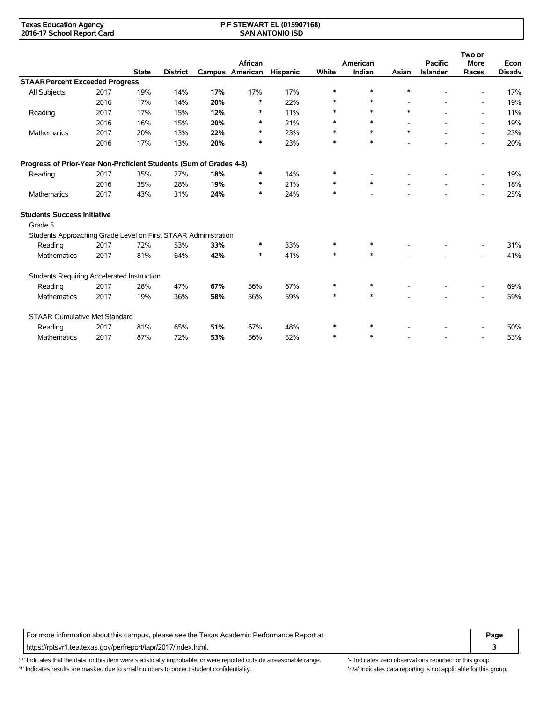#### **P F STEWART EL (015907168) SAN ANTONIO ISD**

|                                                                    |      |              |                 |     |                                   |                 |        |                    |        |                                   | Two or                   |                       |
|--------------------------------------------------------------------|------|--------------|-----------------|-----|-----------------------------------|-----------------|--------|--------------------|--------|-----------------------------------|--------------------------|-----------------------|
|                                                                    |      | <b>State</b> | <b>District</b> |     | <b>African</b><br>Campus American | <b>Hispanic</b> | White  | American<br>Indian | Asian  | <b>Pacific</b><br><b>Islander</b> | <b>More</b><br>Races     | Econ<br><b>Disadv</b> |
| <b>STAAR Percent Exceeded Progress</b>                             |      |              |                 |     |                                   |                 |        |                    |        |                                   |                          |                       |
| All Subjects                                                       | 2017 | 19%          | 14%             | 17% | 17%                               | 17%             | $\ast$ | ∗                  | $\ast$ |                                   |                          | 17%                   |
|                                                                    | 2016 | 17%          | 14%             | 20% | $\ast$                            | 22%             | *      | $\ast$             |        |                                   | $\overline{\phantom{a}}$ | 19%                   |
| Reading                                                            | 2017 | 17%          | 15%             | 12% | $\ast$                            | 11%             | $\ast$ | $\ast$             | $\ast$ |                                   | $\overline{\phantom{a}}$ | 11%                   |
|                                                                    | 2016 | 16%          | 15%             | 20% | ∗                                 | 21%             | $\ast$ | $\ast$             |        |                                   | $\overline{\phantom{a}}$ | 19%                   |
| Mathematics                                                        | 2017 | 20%          | 13%             | 22% | $\ast$                            | 23%             | $\ast$ | $\ast$             | $\ast$ |                                   | $\overline{\phantom{0}}$ | 23%                   |
|                                                                    | 2016 | 17%          | 13%             | 20% | $\ast$                            | 23%             | $\ast$ | $\ast$             |        |                                   |                          | 20%                   |
| Progress of Prior-Year Non-Proficient Students (Sum of Grades 4-8) |      |              |                 |     |                                   |                 |        |                    |        |                                   |                          |                       |
| Reading                                                            | 2017 | 35%          | 27%             | 18% | ∗                                 | 14%             | ∗      |                    |        |                                   |                          | 19%                   |
|                                                                    | 2016 | 35%          | 28%             | 19% | $\ast$                            | 21%             | *      | $\ast$             |        |                                   | $\overline{\phantom{a}}$ | 18%                   |
| <b>Mathematics</b>                                                 | 2017 | 43%          | 31%             | 24% | ∗                                 | 24%             | *      |                    |        |                                   |                          | 25%                   |
| <b>Students Success Initiative</b>                                 |      |              |                 |     |                                   |                 |        |                    |        |                                   |                          |                       |
| Grade 5                                                            |      |              |                 |     |                                   |                 |        |                    |        |                                   |                          |                       |
| Students Approaching Grade Level on First STAAR Administration     |      |              |                 |     |                                   |                 |        |                    |        |                                   |                          |                       |
| Reading                                                            | 2017 | 72%          | 53%             | 33% | $\ast$                            | 33%             | $\ast$ | $\ast$             |        |                                   |                          | 31%                   |
| <b>Mathematics</b>                                                 | 2017 | 81%          | 64%             | 42% | $\ast$                            | 41%             | $\ast$ | $\ast$             |        |                                   |                          | 41%                   |
| Students Requiring Accelerated Instruction                         |      |              |                 |     |                                   |                 |        |                    |        |                                   |                          |                       |
| Reading                                                            | 2017 | 28%          | 47%             | 67% | 56%                               | 67%             | *      | ∗                  |        |                                   |                          | 69%                   |
| Mathematics                                                        | 2017 | 19%          | 36%             | 58% | 56%                               | 59%             | $\ast$ | $\ast$             |        |                                   |                          | 59%                   |
| <b>STAAR Cumulative Met Standard</b>                               |      |              |                 |     |                                   |                 |        |                    |        |                                   |                          |                       |
| Reading                                                            | 2017 | 81%          | 65%             | 51% | 67%                               | 48%             | $\ast$ | ∗                  |        |                                   |                          | 50%                   |
| <b>Mathematics</b>                                                 | 2017 | 87%          | 72%             | 53% | 56%                               | 52%             | ∗      | ∗                  |        |                                   | $\overline{\phantom{a}}$ | 53%                   |

For more information about this campus, please see the Texas Academic Performance Report at **Page** Page https://rptsvr1.tea.texas.gov/perfreport/tapr/2017/index.html. **3**

'?' Indicates that the data for this item were statistically improbable, or were reported outside a reasonable range. '' Indicates zero observations reported for this group. '\*' Indicates results are masked due to small numbers to protect student confidentiality. Ma' Indicates data reporting is not applicable for this group.